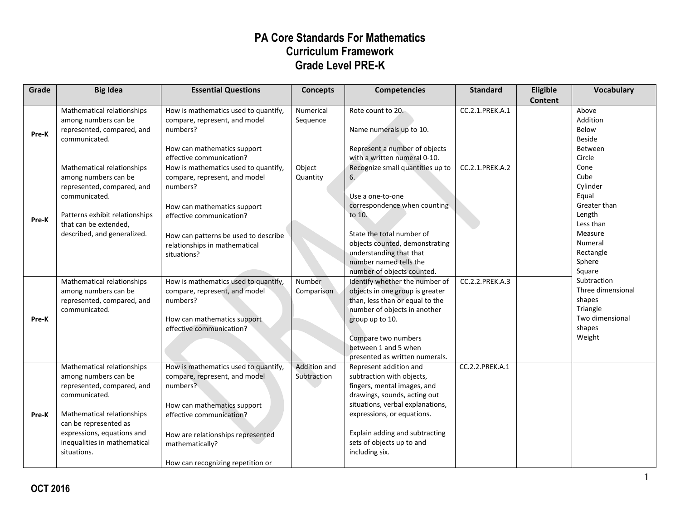| Grade | <b>Big Idea</b>                                                                                                                                                                                                                       | <b>Essential Questions</b>                                                                                                                                                                                                                | <b>Concepts</b>             | <b>Competencies</b>                                                                                                                                                                                                                                                   | <b>Standard</b> | Eligible<br><b>Content</b> | <b>Vocabulary</b>                                                                                                               |
|-------|---------------------------------------------------------------------------------------------------------------------------------------------------------------------------------------------------------------------------------------|-------------------------------------------------------------------------------------------------------------------------------------------------------------------------------------------------------------------------------------------|-----------------------------|-----------------------------------------------------------------------------------------------------------------------------------------------------------------------------------------------------------------------------------------------------------------------|-----------------|----------------------------|---------------------------------------------------------------------------------------------------------------------------------|
| Pre-K | Mathematical relationships<br>among numbers can be<br>represented, compared, and<br>communicated.                                                                                                                                     | How is mathematics used to quantify,<br>compare, represent, and model<br>numbers?<br>How can mathematics support<br>effective communication?                                                                                              | Numerical<br>Sequence       | Rote count to 20.<br>Name numerals up to 10.<br>Represent a number of objects<br>with a written numeral 0-10.                                                                                                                                                         | CC.2.1.PREK.A.1 |                            | Above<br>Addition<br>Below<br><b>Beside</b><br>Between<br>Circle                                                                |
| Pre-K | Mathematical relationships<br>among numbers can be<br>represented, compared, and<br>communicated.<br>Patterns exhibit relationships<br>that can be extended,<br>described, and generalized.                                           | How is mathematics used to quantify,<br>compare, represent, and model<br>numbers?<br>How can mathematics support<br>effective communication?<br>How can patterns be used to describe<br>relationships in mathematical<br>situations?      | Object<br>Quantity          | Recognize small quantities up to<br>6.<br>Use a one-to-one<br>correspondence when counting<br>to 10.<br>State the total number of<br>objects counted, demonstrating<br>understanding that that<br>number named tells the<br>number of objects counted.                | CC.2.1.PREK.A.2 |                            | Cone<br>Cube<br>Cylinder<br>Equal<br>Greater than<br>Length<br>Less than<br>Measure<br>Numeral<br>Rectangle<br>Sphere<br>Square |
| Pre-K | Mathematical relationships<br>among numbers can be<br>represented, compared, and<br>communicated.                                                                                                                                     | How is mathematics used to quantify,<br>compare, represent, and model<br>numbers?<br>How can mathematics support<br>effective communication?                                                                                              | Number<br>Comparison        | Identify whether the number of<br>objects in one group is greater<br>than, less than or equal to the<br>number of objects in another<br>group up to 10.<br>Compare two numbers<br>between 1 and 5 when<br>presented as written numerals.                              | CC.2.2.PREK.A.3 |                            | Subtraction<br>Three dimensional<br>shapes<br>Triangle<br>Two dimensional<br>shapes<br>Weight                                   |
| Pre-K | Mathematical relationships<br>among numbers can be<br>represented, compared, and<br>communicated.<br>Mathematical relationships<br>can be represented as<br>expressions, equations and<br>inequalities in mathematical<br>situations. | How is mathematics used to quantify,<br>compare, represent, and model<br>numbers?<br>How can mathematics support<br>effective communication?<br>How are relationships represented<br>mathematically?<br>How can recognizing repetition or | Addition and<br>Subtraction | Represent addition and<br>subtraction with objects,<br>fingers, mental images, and<br>drawings, sounds, acting out<br>situations, verbal explanations,<br>expressions, or equations.<br>Explain adding and subtracting<br>sets of objects up to and<br>including six. | CC.2.2.PREK.A.1 |                            |                                                                                                                                 |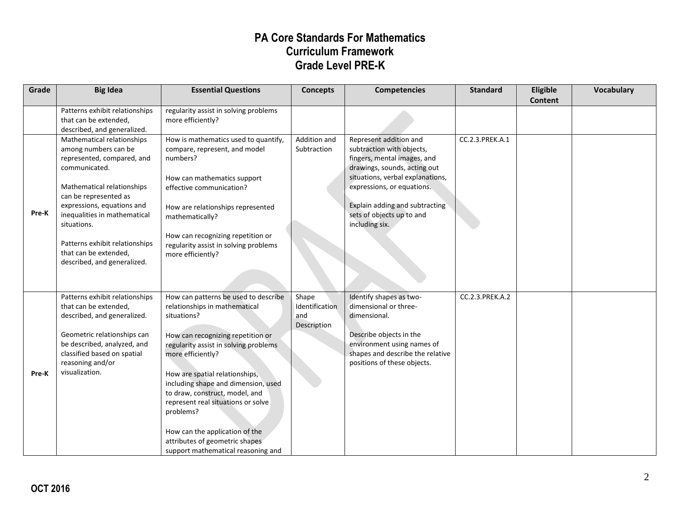| Grade | <b>Big Idea</b>                                                                                                                                                                                                                                                                                                                 | <b>Essential Questions</b>                                                                                                                                                                                                                                                                                                                                                                                                                                      | <b>Concepts</b>                               | <b>Competencies</b>                                                                                                                                                                                                                                                   | <b>Standard</b> | Eligible<br><b>Content</b> | <b>Vocabulary</b> |
|-------|---------------------------------------------------------------------------------------------------------------------------------------------------------------------------------------------------------------------------------------------------------------------------------------------------------------------------------|-----------------------------------------------------------------------------------------------------------------------------------------------------------------------------------------------------------------------------------------------------------------------------------------------------------------------------------------------------------------------------------------------------------------------------------------------------------------|-----------------------------------------------|-----------------------------------------------------------------------------------------------------------------------------------------------------------------------------------------------------------------------------------------------------------------------|-----------------|----------------------------|-------------------|
|       | Patterns exhibit relationships<br>that can be extended,<br>described, and generalized.                                                                                                                                                                                                                                          | regularity assist in solving problems<br>more efficiently?                                                                                                                                                                                                                                                                                                                                                                                                      |                                               |                                                                                                                                                                                                                                                                       |                 |                            |                   |
| Pre-K | Mathematical relationships<br>among numbers can be<br>represented, compared, and<br>communicated.<br>Mathematical relationships<br>can be represented as<br>expressions, equations and<br>inequalities in mathematical<br>situations.<br>Patterns exhibit relationships<br>that can be extended,<br>described, and generalized. | How is mathematics used to quantify,<br>compare, represent, and model<br>numbers?<br>How can mathematics support<br>effective communication?<br>How are relationships represented<br>mathematically?<br>How can recognizing repetition or<br>regularity assist in solving problems<br>more efficiently?                                                                                                                                                         | Addition and<br>Subtraction                   | Represent addition and<br>subtraction with objects,<br>fingers, mental images, and<br>drawings, sounds, acting out<br>situations, verbal explanations,<br>expressions, or equations.<br>Explain adding and subtracting<br>sets of objects up to and<br>including six. | CC.2.3.PREK.A.1 |                            |                   |
| Pre-K | Patterns exhibit relationships<br>that can be extended,<br>described, and generalized.<br>Geometric relationships can<br>be described, analyzed, and<br>classified based on spatial<br>reasoning and/or<br>visualization.                                                                                                       | How can patterns be used to describe<br>relationships in mathematical<br>situations?<br>How can recognizing repetition or<br>regularity assist in solving problems<br>more efficiently?<br>How are spatial relationships,<br>including shape and dimension, used<br>to draw, construct, model, and<br>represent real situations or solve<br>problems?<br>How can the application of the<br>attributes of geometric shapes<br>support mathematical reasoning and | Shape<br>Identification<br>and<br>Description | Identify shapes as two-<br>dimensional or three-<br>dimensional.<br>Describe objects in the<br>environment using names of<br>shapes and describe the relative<br>positions of these objects.                                                                          | CC.2.3.PREK.A.2 |                            |                   |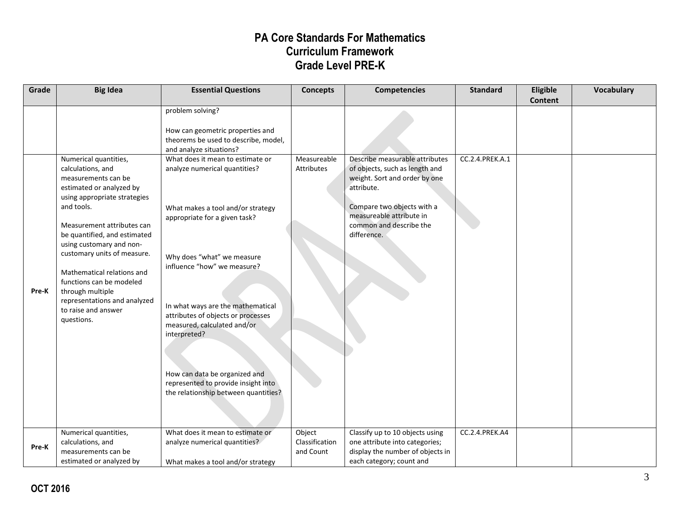| Grade | <b>Big Idea</b>                                                                                                                                                                                                                                                                                                                                                                                                         | <b>Essential Questions</b>                                                                                                                                                                                                                                                                                                                                                                                                                                                                                                                                                | <b>Concepts</b>                       | <b>Competencies</b>                                                                                                                                                                                                 | <b>Standard</b>       | Eligible<br><b>Content</b> | <b>Vocabulary</b> |
|-------|-------------------------------------------------------------------------------------------------------------------------------------------------------------------------------------------------------------------------------------------------------------------------------------------------------------------------------------------------------------------------------------------------------------------------|---------------------------------------------------------------------------------------------------------------------------------------------------------------------------------------------------------------------------------------------------------------------------------------------------------------------------------------------------------------------------------------------------------------------------------------------------------------------------------------------------------------------------------------------------------------------------|---------------------------------------|---------------------------------------------------------------------------------------------------------------------------------------------------------------------------------------------------------------------|-----------------------|----------------------------|-------------------|
| Pre-K | Numerical quantities,<br>calculations, and<br>measurements can be<br>estimated or analyzed by<br>using appropriate strategies<br>and tools.<br>Measurement attributes can<br>be quantified, and estimated<br>using customary and non-<br>customary units of measure.<br>Mathematical relations and<br>functions can be modeled<br>through multiple<br>representations and analyzed<br>to raise and answer<br>questions. | problem solving?<br>How can geometric properties and<br>theorems be used to describe, model,<br>and analyze situations?<br>What does it mean to estimate or<br>analyze numerical quantities?<br>What makes a tool and/or strategy<br>appropriate for a given task?<br>Why does "what" we measure<br>influence "how" we measure?<br>In what ways are the mathematical<br>attributes of objects or processes<br>measured, calculated and/or<br>interpreted?<br>How can data be organized and<br>represented to provide insight into<br>the relationship between quantities? | Measureable<br>Attributes             | Describe measurable attributes<br>of objects, such as length and<br>weight. Sort and order by one<br>attribute.<br>Compare two objects with a<br>measureable attribute in<br>common and describe the<br>difference. | CC.2.4.PREK.A.1       |                            |                   |
| Pre-K | Numerical quantities,<br>calculations, and<br>measurements can be<br>estimated or analyzed by                                                                                                                                                                                                                                                                                                                           | What does it mean to estimate or<br>analyze numerical quantities?<br>What makes a tool and/or strategy                                                                                                                                                                                                                                                                                                                                                                                                                                                                    | Object<br>Classification<br>and Count | Classify up to 10 objects using<br>one attribute into categories;<br>display the number of objects in<br>each category; count and                                                                                   | <b>CC.2.4.PREK.A4</b> |                            |                   |